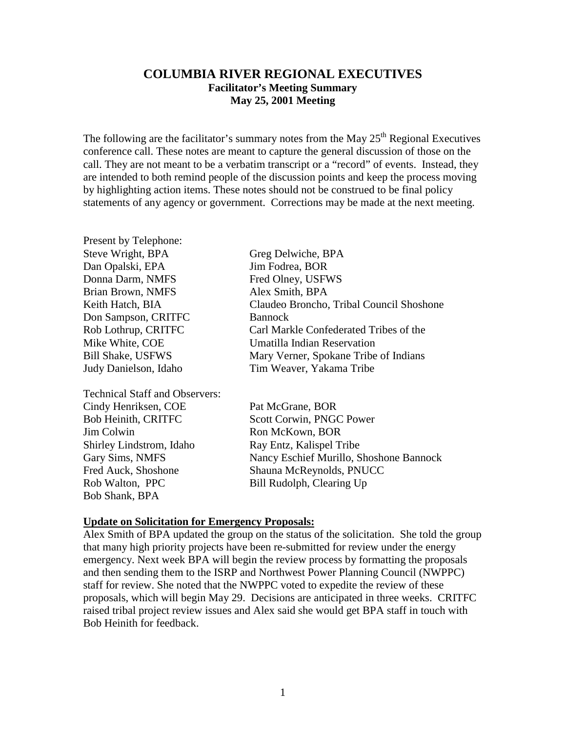## **COLUMBIA RIVER REGIONAL EXECUTIVES Facilitator's Meeting Summary May 25, 2001 Meeting**

The following are the facilitator's summary notes from the May  $25<sup>th</sup>$  Regional Executives conference call. These notes are meant to capture the general discussion of those on the call. They are not meant to be a verbatim transcript or a "record" of events. Instead, they are intended to both remind people of the discussion points and keep the process moving by highlighting action items. These notes should not be construed to be final policy statements of any agency or government. Corrections may be made at the next meeting.

| Steve Wright, BPA                     | Greg Delwiche, BPA                       |
|---------------------------------------|------------------------------------------|
| Dan Opalski, EPA                      | Jim Fodrea, BOR                          |
| Donna Darm, NMFS                      | Fred Olney, USFWS                        |
| Brian Brown, NMFS                     | Alex Smith, BPA                          |
| Keith Hatch, BIA                      | Claudeo Broncho, Tribal Council Shoshone |
| Don Sampson, CRITFC                   | <b>Bannock</b>                           |
| Rob Lothrup, CRITFC                   | Carl Markle Confederated Tribes of the   |
| Mike White, COE                       | Umatilla Indian Reservation              |
| <b>Bill Shake, USFWS</b>              | Mary Verner, Spokane Tribe of Indians    |
| Judy Danielson, Idaho                 | Tim Weaver, Yakama Tribe                 |
| <b>Technical Staff and Observers:</b> |                                          |
| Cindy Henriksen, COE                  | Pat McGrane, BOR                         |
| <b>Bob Heinith, CRITFC</b>            | Scott Corwin, PNGC Power                 |
| Jim Colwin                            | Ron McKown, BOR                          |
| Shirley Lindstrom, Idaho              | Ray Entz, Kalispel Tribe                 |
| Gary Sims, NMFS                       | Nancy Eschief Murillo, Shoshone Bannock  |
| Fred Auck, Shoshone                   | Shauna McReynolds, PNUCC                 |
| Rob Walton, PPC                       | Bill Rudolph, Clearing Up                |
| Bob Shank, BPA                        |                                          |
|                                       |                                          |

## **Update on Solicitation for Emergency Proposals:**

Present by Telephone:

Alex Smith of BPA updated the group on the status of the solicitation. She told the group that many high priority projects have been re-submitted for review under the energy emergency. Next week BPA will begin the review process by formatting the proposals and then sending them to the ISRP and Northwest Power Planning Council (NWPPC) staff for review. She noted that the NWPPC voted to expedite the review of these proposals, which will begin May 29. Decisions are anticipated in three weeks. CRITFC raised tribal project review issues and Alex said she would get BPA staff in touch with Bob Heinith for feedback.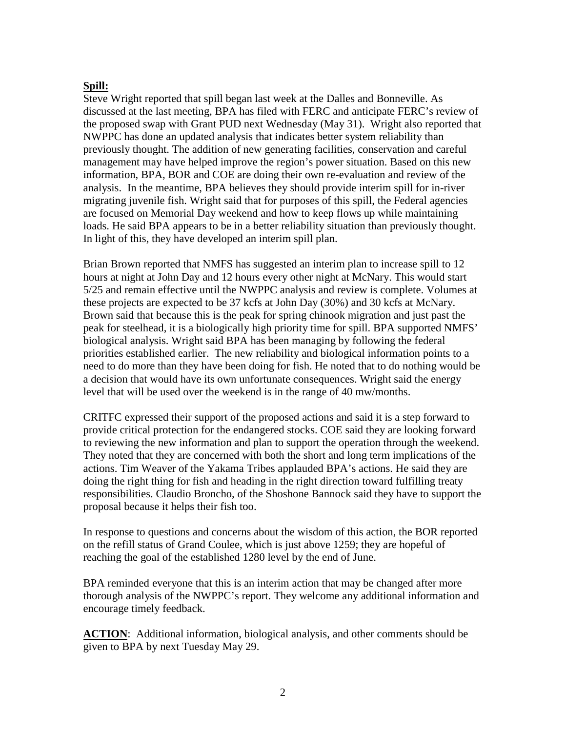## **Spill:**

Steve Wright reported that spill began last week at the Dalles and Bonneville. As discussed at the last meeting, BPA has filed with FERC and anticipate FERC's review of the proposed swap with Grant PUD next Wednesday (May 31). Wright also reported that NWPPC has done an updated analysis that indicates better system reliability than previously thought. The addition of new generating facilities, conservation and careful management may have helped improve the region's power situation. Based on this new information, BPA, BOR and COE are doing their own re-evaluation and review of the analysis. In the meantime, BPA believes they should provide interim spill for in-river migrating juvenile fish. Wright said that for purposes of this spill, the Federal agencies are focused on Memorial Day weekend and how to keep flows up while maintaining loads. He said BPA appears to be in a better reliability situation than previously thought. In light of this, they have developed an interim spill plan.

Brian Brown reported that NMFS has suggested an interim plan to increase spill to 12 hours at night at John Day and 12 hours every other night at McNary. This would start 5/25 and remain effective until the NWPPC analysis and review is complete. Volumes at these projects are expected to be 37 kcfs at John Day (30%) and 30 kcfs at McNary. Brown said that because this is the peak for spring chinook migration and just past the peak for steelhead, it is a biologically high priority time for spill. BPA supported NMFS' biological analysis. Wright said BPA has been managing by following the federal priorities established earlier. The new reliability and biological information points to a need to do more than they have been doing for fish. He noted that to do nothing would be a decision that would have its own unfortunate consequences. Wright said the energy level that will be used over the weekend is in the range of 40 mw/months.

CRITFC expressed their support of the proposed actions and said it is a step forward to provide critical protection for the endangered stocks. COE said they are looking forward to reviewing the new information and plan to support the operation through the weekend. They noted that they are concerned with both the short and long term implications of the actions. Tim Weaver of the Yakama Tribes applauded BPA's actions. He said they are doing the right thing for fish and heading in the right direction toward fulfilling treaty responsibilities. Claudio Broncho, of the Shoshone Bannock said they have to support the proposal because it helps their fish too.

In response to questions and concerns about the wisdom of this action, the BOR reported on the refill status of Grand Coulee, which is just above 1259; they are hopeful of reaching the goal of the established 1280 level by the end of June.

BPA reminded everyone that this is an interim action that may be changed after more thorough analysis of the NWPPC's report. They welcome any additional information and encourage timely feedback.

**ACTION:** Additional information, biological analysis, and other comments should be given to BPA by next Tuesday May 29.